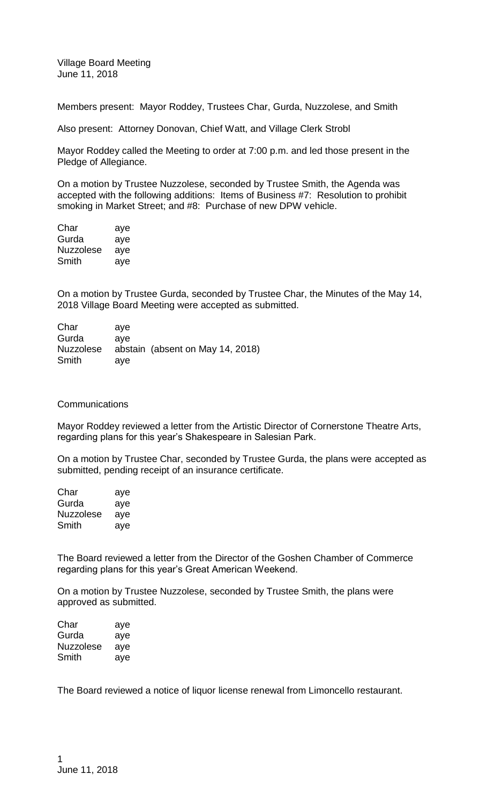Village Board Meeting June 11, 2018

Members present: Mayor Roddey, Trustees Char, Gurda, Nuzzolese, and Smith

Also present: Attorney Donovan, Chief Watt, and Village Clerk Strobl

Mayor Roddey called the Meeting to order at 7:00 p.m. and led those present in the Pledge of Allegiance.

On a motion by Trustee Nuzzolese, seconded by Trustee Smith, the Agenda was accepted with the following additions: Items of Business #7: Resolution to prohibit smoking in Market Street; and #8: Purchase of new DPW vehicle.

| Char      | aye |
|-----------|-----|
| Gurda     | aye |
| Nuzzolese | aye |
| Smith     | aye |

On a motion by Trustee Gurda, seconded by Trustee Char, the Minutes of the May 14, 2018 Village Board Meeting were accepted as submitted.

| Char             | ave |                                  |
|------------------|-----|----------------------------------|
| Gurda            | ave |                                  |
| <b>Nuzzolese</b> |     | abstain (absent on May 14, 2018) |
| Smith            | ave |                                  |

## **Communications**

Mayor Roddey reviewed a letter from the Artistic Director of Cornerstone Theatre Arts, regarding plans for this year's Shakespeare in Salesian Park.

On a motion by Trustee Char, seconded by Trustee Gurda, the plans were accepted as submitted, pending receipt of an insurance certificate.

| Char      | aye |
|-----------|-----|
| Gurda     | aye |
| Nuzzolese | aye |
| Smith     | aye |

The Board reviewed a letter from the Director of the Goshen Chamber of Commerce regarding plans for this year's Great American Weekend.

On a motion by Trustee Nuzzolese, seconded by Trustee Smith, the plans were approved as submitted.

| Char      | aye |
|-----------|-----|
| Gurda     | aye |
| Nuzzolese | aye |
| Smith     | aye |

The Board reviewed a notice of liquor license renewal from Limoncello restaurant.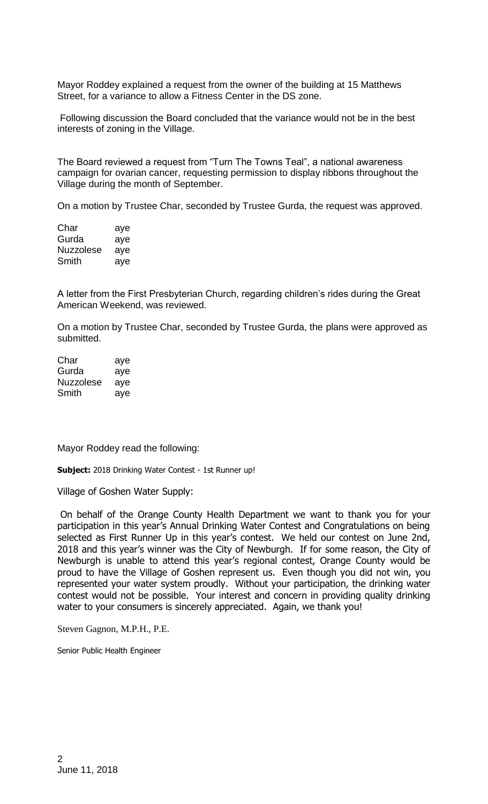Mayor Roddey explained a request from the owner of the building at 15 Matthews Street, for a variance to allow a Fitness Center in the DS zone.

Following discussion the Board concluded that the variance would not be in the best interests of zoning in the Village.

The Board reviewed a request from "Turn The Towns Teal", a national awareness campaign for ovarian cancer, requesting permission to display ribbons throughout the Village during the month of September.

On a motion by Trustee Char, seconded by Trustee Gurda, the request was approved.

| Char             | aye |
|------------------|-----|
| Gurda            | aye |
| <b>Nuzzolese</b> | aye |
| Smith            | aye |

A letter from the First Presbyterian Church, regarding children's rides during the Great American Weekend, was reviewed.

On a motion by Trustee Char, seconded by Trustee Gurda, the plans were approved as submitted.

| Char      | aye |
|-----------|-----|
| Gurda     | aye |
| Nuzzolese | aye |
| Smith     | aye |

Mayor Roddey read the following:

**Subject:** 2018 Drinking Water Contest - 1st Runner up!

Village of Goshen Water Supply:

On behalf of the Orange County Health Department we want to thank you for your participation in this year's Annual Drinking Water Contest and Congratulations on being selected as First Runner Up in this year's contest. We held our contest on June 2nd, 2018 and this year's winner was the City of Newburgh. If for some reason, the City of Newburgh is unable to attend this year's regional contest, Orange County would be proud to have the Village of Goshen represent us. Even though you did not win, you represented your water system proudly. Without your participation, the drinking water contest would not be possible. Your interest and concern in providing quality drinking water to your consumers is sincerely appreciated. Again, we thank you!

Steven Gagnon, M.P.H., P.E.

Senior Public Health Engineer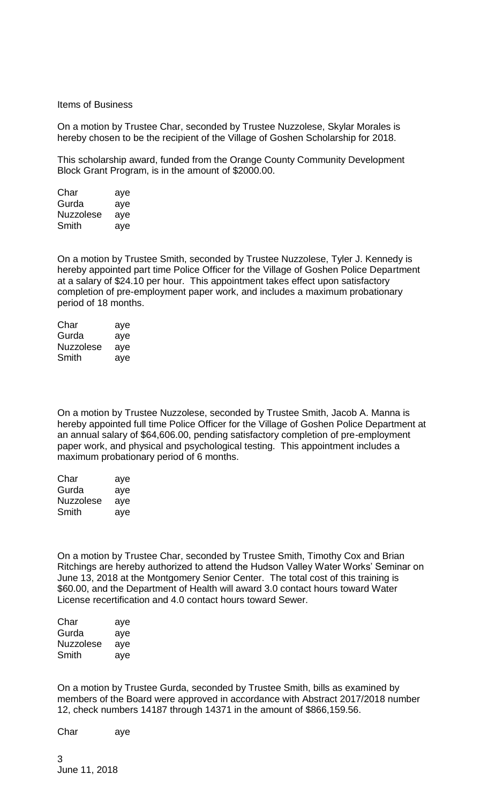Items of Business

On a motion by Trustee Char, seconded by Trustee Nuzzolese, Skylar Morales is hereby chosen to be the recipient of the Village of Goshen Scholarship for 2018.

This scholarship award, funded from the Orange County Community Development Block Grant Program, is in the amount of \$2000.00.

| Char             | aye |
|------------------|-----|
| Gurda            | aye |
| <b>Nuzzolese</b> | aye |
| Smith            | aye |

On a motion by Trustee Smith, seconded by Trustee Nuzzolese, Tyler J. Kennedy is hereby appointed part time Police Officer for the Village of Goshen Police Department at a salary of \$24.10 per hour. This appointment takes effect upon satisfactory completion of pre-employment paper work, and includes a maximum probationary period of 18 months.

| Char             | aye |
|------------------|-----|
| Gurda            | aye |
| <b>Nuzzolese</b> | aye |
| Smith            | aye |

On a motion by Trustee Nuzzolese, seconded by Trustee Smith, Jacob A. Manna is hereby appointed full time Police Officer for the Village of Goshen Police Department at an annual salary of \$64,606.00, pending satisfactory completion of pre-employment paper work, and physical and psychological testing. This appointment includes a maximum probationary period of 6 months.

| Char      | aye |
|-----------|-----|
| Gurda     | aye |
| Nuzzolese | aye |
| Smith     | aye |

On a motion by Trustee Char, seconded by Trustee Smith, Timothy Cox and Brian Ritchings are hereby authorized to attend the Hudson Valley Water Works' Seminar on June 13, 2018 at the Montgomery Senior Center. The total cost of this training is \$60.00, and the Department of Health will award 3.0 contact hours toward Water License recertification and 4.0 contact hours toward Sewer.

| Char      | aye |
|-----------|-----|
| Gurda     | aye |
| Nuzzolese | aye |
| Smith     | aye |

On a motion by Trustee Gurda, seconded by Trustee Smith, bills as examined by members of the Board were approved in accordance with Abstract 2017/2018 number 12, check numbers 14187 through 14371 in the amount of \$866,159.56.

Char aye